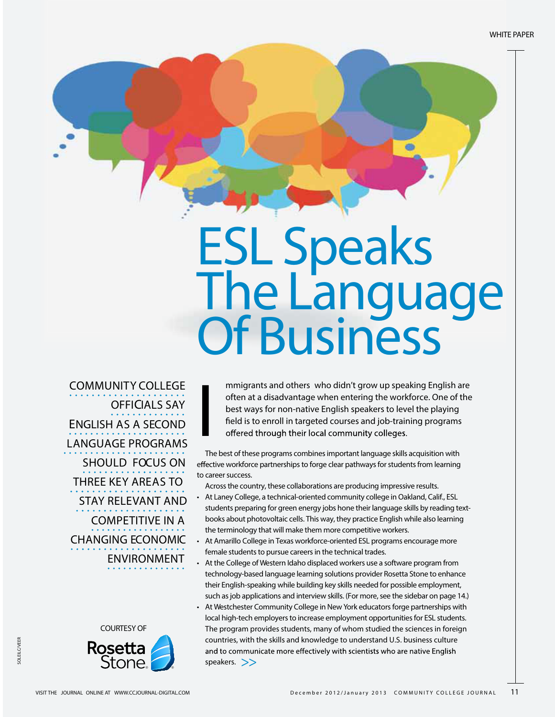WHITE PAPER

# ESL Speaks The Language Of Business

**COMMUNITY COLLEGE OFFICIALS SAY ENGLISH AS A SECOND LANGUAGE PROGRAMS SHOULD FOCUS ON THREE KEY AREAS TO STAY RELEVANT AND COMPETITIVE IN A CHANGING ECONOMIC ENVIRONMENT**





**mmigrants and others** who didn't grow up speaking English are often at a disadvantage when entering the workforce. One of the best ways for non-native English speakers to level the playing field is to enroll in targeted courses and job-training programs offered through their local community colleges.

I The best of these programs combines important language skills acquisition with effective workforce partnerships to forge clear pathways for students from learning to career success.

Across the country, these collaborations are producing impressive results.

- At Laney College, a technical-oriented community college in Oakland, Calif., ESL students preparing for green energy jobs hone their language skills by reading textbooks about photovoltaic cells. This way, they practice English while also learning the terminology that will make them more competitive workers.
- At Amarillo College in Texas workforce-oriented ESL programs encourage more female students to pursue careers in the technical trades.
- At the College of Western Idaho displaced workers use a software program from technology-based language learning solutions provider Rosetta Stone to enhance their English-speaking while building key skills needed for possible employment, such asjob applications and interview skills. (For more, see the sidebar on page 14.)
- At Westchester Community College in New York educators forge partnerships with local high-tech employers to increase employment opportunities for ESL students. The program provides students, many of whom studied the sciences in foreign countries, with the skills and knowledge to understand U.S. business culture and to communicate more effectively with scientists who are native English speakers.  $\gg$

SOLEILC/VEER

**COLEU CAVEFE**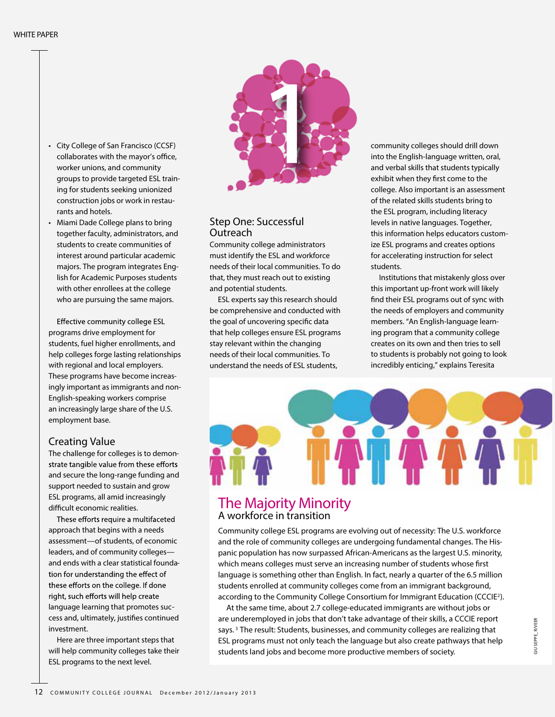- City College of San Francisco (CCSF) collaborates with the mayor's office, worker unions, and community groups to provide targeted ESL training for students seeking unionized construction jobs or work in restaurants and hotels.
- Miami Dade College plans to bring together faculty, administrators, and students to create communities of interest around particular academic majors. The program integrates English for Academic Purposes students with other enrollees at the college who are pursuing the same majors.

Effective community college ESL programs drive employment for students, fuel higher enrollments, and help colleges forge lasting relationships with regional and local employers. These programs have become increasingly important as immigrants and non-English-speaking workers comprise an increasingly large share of the U.S. employment base.

#### **Creating Value**

The challenge for colleges is to demonstrate tangible value from these efforts and secure the long-range funding and support needed to sustain and grow ESL programs, all amid increasingly difficult economic realities.

These efforts require a multifaceted approach that begins with a needs assessment—of students, of economic leaders, and of community colleges and ends with a clear statistical foundation for understanding the effect of these efforts on the college. If done right, such efforts will help create language learning that promotes success and, ultimately, justifies continued investment.

Here are three important steps that will help community colleges take their ESL programs to the next level.



#### **Step One: Successful Outreach**

Community college administrators must identify the ESL and workforce needs of their local communities. To do that, they must reach out to existing and potential students.

ESL experts say this research should be comprehensive and conducted with the goal of uncovering specific data that help colleges ensure ESL programs stay relevant within the changing needs of their local communities. To understand the needs of ESL students,

community colleges should drill down into the English-language written, oral, and verbal skills that students typically exhibit when they first come to the college. Also important is an assessment of the related skills students bring to the ESL program, including literacy levels in native languages. Together, this information helps educators customize ESL programs and creates options for accelerating instruction for select students.

Institutions that mistakenly gloss over this important up-front work will likely find their ESL programs out of sync with the needs of employers and community members. "An English-language learning program that a community college creates on its own and then tries to sell to students is probably not going to look incredibly enticing," explains Teresita



# **The Majority Minority**<br>A workforce in transition

Community college ESL programs are evolving out of necessity: The U.S. workforce and the role of community colleges are undergoing fundamental changes. The Hispanic population has now surpassed African-Americans as the largest U.S. minority, which means colleges must serve an increasing number of students whose first language is something other than English. In fact, nearly a quarter of the 6.5 million students enrolled at community colleges come from an immigrant background, according to the Community College Consortium for Immigrant Education (CCCIE<sup>2</sup>).

At the same time, about 2.7 college-educated immigrants are without jobs or are underemployed in jobs that don't take advantage of their skills, a CCCIE report says.<sup>3</sup> The result: Students, businesses, and community colleges are realizing that ESL programs must not only teach the language but also create pathways that help students land jobs and become more productive members of society.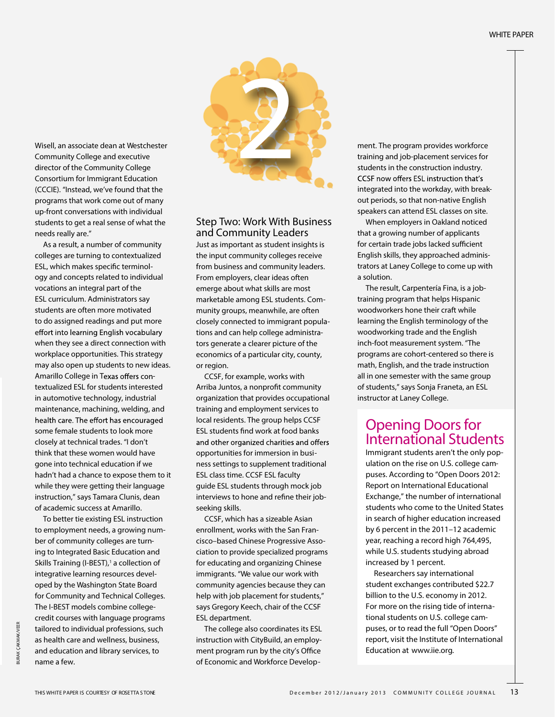

Consortium for Immigrant Education (CCCIE). "Instead, we've found that the programs that work come out of many up-front conversations with individual students to get a real sense of what the needs really are."

As a result, a number of community colleges are turning to contextualized ESL, which makes specific terminology and concepts related to individual vocations an integral part of the ESL curriculum. Administrators say students are often more motivated to do assigned readings and put more effort into learning English vocabulary when they see a direct connection with workplace opportunities. This strategy may also open up students to new ideas. Amarillo College in Texas offers contextualized ESL for students interested in automotive technology, industrial maintenance, machining, welding, and health care. The effort has encouraged some female students to look more closely at technical trades. "I don't think that these women would have gone into technical education if we hadn't had a chance to expose them to it while they were getting their language instruction," says Tamara Clunis, dean of academic success at Amarillo.

Wisell, an associate dean at Westchester Community College and executive director of the Community College

To better tie existing ESL instruction to employment needs, a growing number of community colleges are turning to Integrated Basic Education and Skills Training (I-BEST),<sup>1</sup> a collection of integrative learning resources developed by the Washington State Board for Community and Technical Colleges. The I-BEST models combine collegecredit courses with language programs tailored to individual professions, such as health care and wellness, business, and education and library services, to name a few.

**Step Two: Work With Business and Community Leaders**

Just as important as student insights is the input community colleges receive from business and community leaders. From employers, clear ideas often emerge about what skills are most marketable among ESL students. Community groups, meanwhile, are often closely connected to immigrant populations and can help college administrators generate a clearer picture of the economics of a particular city, county, or region.

CCSF, for example, works with Arriba Juntos, a nonprofit community organization that provides occupational training and employment services to local residents. The group helps CCSF ESL students find work at food banks and other organized charities and offers opportunities for immersion in business settings to supplement traditional ESL class time. CCSF ESL faculty guide ESL students through mock job interviews to hone and refine their jobseeking skills.

CCSF, which has a sizeable Asian enrollment, works with the San Francisco–based Chinese Progressive Association to provide specialized programs for educating and organizing Chinese immigrants. "We value our work with community agencies because they can help with job placement for students," says Gregory Keech, chair of the CCSF ESL department.

The college also coordinates its ESL instruction with CityBuild, an employment program run by the city's Office of Economic and Workforce Development. The program provides workforce training and job-placement services for students in the construction industry. CCSF now offers ESL instruction that's integrated into the workday, with breakout periods, so that non-native English speakers can attend ESL classes on site.

When employers in Oakland noticed that a growing number of applicants for certain trade jobs lacked sufficient English skills, they approached administrators at Laney College to come up with a solution.

The result, Carpentería Fina, is a jobtraining program that helps Hispanic woodworkers hone their craft while learning the English terminology of the woodworking trade and the English inch-foot measurement system. "The programs are cohort-centered so there is math, English, and the trade instruction all in one semester with the same group of students," says Sonja Franeta, an ESL instructor at Laney College.

### **Opening Doors for** International Students

Immigrant students aren't the only population on the rise on U.S. college campuses. According to "Open Doors 2012: Report on International Educational Exchange," the number of international students who come to the United States in search of higher education increased by 6 percent in the 2011–12 academic year, reaching a record high 764,495, while U.S. students studying abroad increased by 1 percent.

Researchers say international student exchanges contributed \$22.7 billion to the U.S. economy in 2012. For more on the rising tide of international students on U.S. college campuses, or to read the full "Open Doors" report, visit the Institute of International Education at **www.iie.org**.